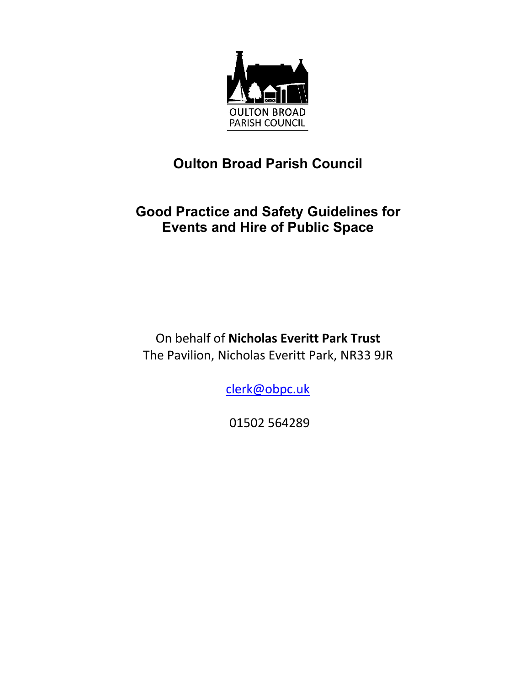

# **Oulton Broad Parish Council**

# **Good Practice and Safety Guidelines for Events and Hire of Public Space**

On behalf of **Nicholas Everitt Park Trust** The Pavilion, Nicholas Everitt Park, NR33 9JR

clerk@obpc.uk

01502 564289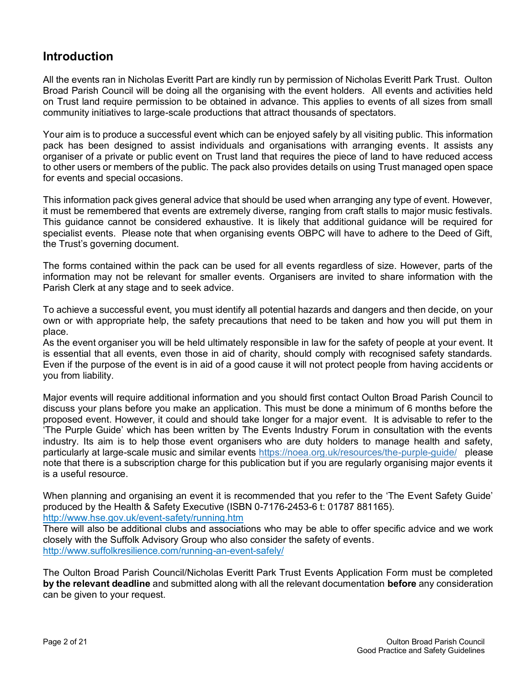## **Introduction**

All the events ran in Nicholas Everitt Part are kindly run by permission of Nicholas Everitt Park Trust. Oulton Broad Parish Council will be doing all the organising with the event holders. All events and activities held on Trust land require permission to be obtained in advance. This applies to events of all sizes from small community initiatives to large-scale productions that attract thousands of spectators.

Your aim is to produce a successful event which can be enjoyed safely by all visiting public. This information pack has been designed to assist individuals and organisations with arranging events. It assists any organiser of a private or public event on Trust land that requires the piece of land to have reduced access to other users or members of the public. The pack also provides details on using Trust managed open space for events and special occasions.

This information pack gives general advice that should be used when arranging any type of event. However, it must be remembered that events are extremely diverse, ranging from craft stalls to major music festivals. This guidance cannot be considered exhaustive. It is likely that additional guidance will be required for specialist events. Please note that when organising events OBPC will have to adhere to the Deed of Gift, the Trust's governing document.

The forms contained within the pack can be used for all events regardless of size. However, parts of the information may not be relevant for smaller events. Organisers are invited to share information with the Parish Clerk at any stage and to seek advice.

To achieve a successful event, you must identify all potential hazards and dangers and then decide, on your own or with appropriate help, the safety precautions that need to be taken and how you will put them in place.

As the event organiser you will be held ultimately responsible in law for the safety of people at your event. It is essential that all events, even those in aid of charity, should comply with recognised safety standards. Even if the purpose of the event is in aid of a good cause it will not protect people from having accidents or you from liability.

Major events will require additional information and you should first contact Oulton Broad Parish Council to discuss your plans before you make an application. This must be done a minimum of 6 months before the proposed event. However, it could and should take longer for a major event. It is advisable to refer to the 'The Purple Guide' which has been written by The Events Industry Forum in consultation with the events industry. Its aim is to help those event organisers who are duty holders to manage health and safety, particularly at large-scale music and similar events <https://noea.org.uk/resources/the-purple-guide/>please note that there is a subscription charge for this publication but if you are regularly organising major events it is a useful resource.

When planning and organising an event it is recommended that you refer to the 'The Event Safety Guide' produced by the Health & Safety Executive (ISBN 0-7176-2453-6 t: 01787 881165). <http://www.hse.gov.uk/event-safety/running.htm>

There will also be additional clubs and associations who may be able to offer specific advice and we work closely with the Suffolk Advisory Group who also consider the safety of events. <http://www.suffolkresilience.com/running-an-event-safely/>

The Oulton Broad Parish Council/Nicholas Everitt Park Trust Events Application Form must be completed **by the relevant deadline** and submitted along with all the relevant documentation **before** any consideration can be given to your request.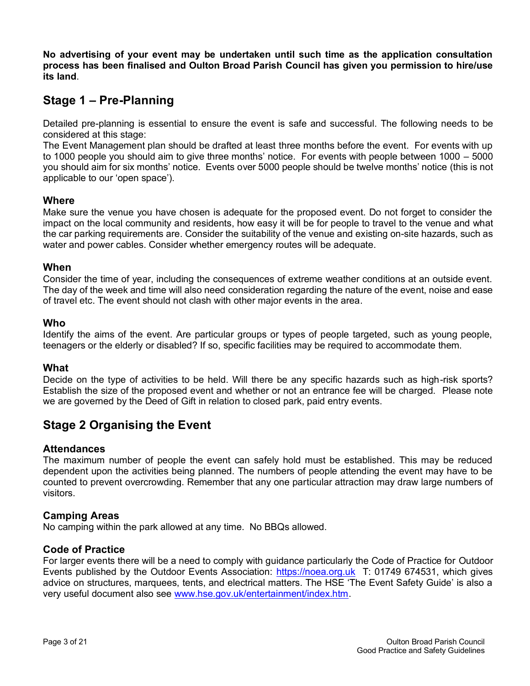**No advertising of your event may be undertaken until such time as the application consultation process has been finalised and Oulton Broad Parish Council has given you permission to hire/use its land**.

## **Stage 1 – Pre-Planning**

Detailed pre-planning is essential to ensure the event is safe and successful. The following needs to be considered at this stage:

The Event Management plan should be drafted at least three months before the event. For events with up to 1000 people you should aim to give three months' notice. For events with people between 1000 – 5000 you should aim for six months' notice. Events over 5000 people should be twelve months' notice (this is not applicable to our 'open space').

#### **Where**

Make sure the venue you have chosen is adequate for the proposed event. Do not forget to consider the impact on the local community and residents, how easy it will be for people to travel to the venue and what the car parking requirements are. Consider the suitability of the venue and existing on-site hazards, such as water and power cables. Consider whether emergency routes will be adequate.

#### **When**

Consider the time of year, including the consequences of extreme weather conditions at an outside event. The day of the week and time will also need consideration regarding the nature of the event, noise and ease of travel etc. The event should not clash with other major events in the area.

#### **Who**

Identify the aims of the event. Are particular groups or types of people targeted, such as young people, teenagers or the elderly or disabled? If so, specific facilities may be required to accommodate them.

#### **What**

Decide on the type of activities to be held. Will there be any specific hazards such as high-risk sports? Establish the size of the proposed event and whether or not an entrance fee will be charged. Please note we are governed by the Deed of Gift in relation to closed park, paid entry events.

## **Stage 2 Organising the Event**

#### **Attendances**

The maximum number of people the event can safely hold must be established. This may be reduced dependent upon the activities being planned. The numbers of people attending the event may have to be counted to prevent overcrowding. Remember that any one particular attraction may draw large numbers of visitors.

#### **Camping Areas**

No camping within the park allowed at any time. No BBQs allowed.

#### **Code of Practice**

For larger events there will be a need to comply with guidance particularly the Code of Practice for Outdoor Events published by the Outdoor Events Association: [https://noea.org.uk](https://noea.org.uk/) T: 01749 674531, which gives advice on structures, marquees, tents, and electrical matters. The HSE 'The Event Safety Guide' is also a very useful document also see [www.hse.gov.uk/entertainment/index.htm.](http://www.hse.gov.uk/entertainment/index.htm)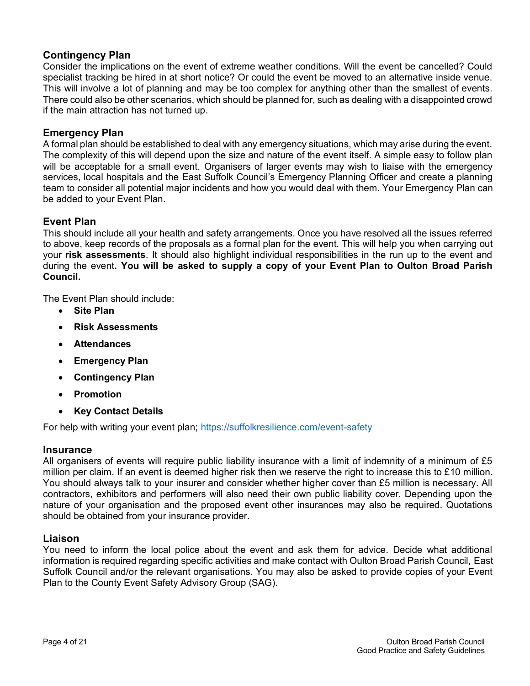### **Contingency Plan**

Consider the implications on the event of extreme weather conditions. Will the event be cancelled? Could specialist tracking be hired in at short notice? Or could the event be moved to an alternative inside venue. This will involve a lot of planning and may be too complex for anything other than the smallest of events. There could also be other scenarios, which should be planned for, such as dealing with a disappointed crowd if the main attraction has not turned up.

#### **Emergency Plan**

A formal plan should be established to deal with any emergency situations, which may arise during the event. The complexity of this will depend upon the size and nature of the event itself. A simple easy to follow plan will be acceptable for a small event. Organisers of larger events may wish to liaise with the emergency services, local hospitals and the East Suffolk Council's Emergency Planning Officer and create a planning team to consider all potential major incidents and how you would deal with them. Your Emergency Plan can be added to your Event Plan.

#### **Event Plan**

This should include all your health and safety arrangements. Once you have resolved all the issues referred to above, keep records of the proposals as a formal plan for the event. This will help you when carrying out your **risk assessments**. It should also highlight individual responsibilities in the run up to the event and during the event**. You will be asked to supply a copy of your Event Plan to Oulton Broad Parish Council.**

The Event Plan should include:

- **Site Plan**
- **Risk Assessments**
- **Attendances**
- **Emergency Plan**
- **Contingency Plan**
- **Promotion**
- **Key Contact Details**

For help with writing your event plan; <https://suffolkresilience.com/event-safety>

#### **Insurance**

All organisers of events will require public liability insurance with a limit of indemnity of a minimum of £5 million per claim. If an event is deemed higher risk then we reserve the right to increase this to £10 million. You should always talk to your insurer and consider whether higher cover than £5 million is necessary. All contractors, exhibitors and performers will also need their own public liability cover. Depending upon the nature of your organisation and the proposed event other insurances may also be required. Quotations should be obtained from your insurance provider.

#### **Liaison**

You need to inform the local police about the event and ask them for advice. Decide what additional information is required regarding specific activities and make contact with Oulton Broad Parish Council, East Suffolk Council and/or the relevant organisations. You may also be asked to provide copies of your Event Plan to the County Event Safety Advisory Group (SAG).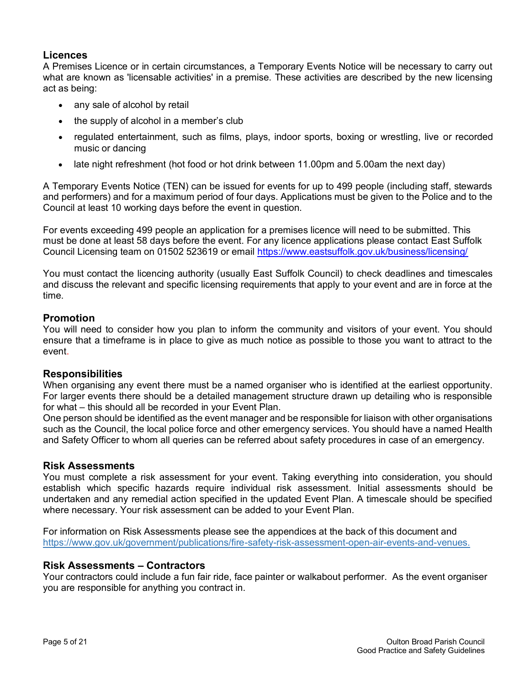#### **Licences**

A Premises Licence or in certain circumstances, a Temporary Events Notice will be necessary to carry out what are known as 'licensable activities' in a premise. These activities are described by the new licensing act as being:

- any sale of alcohol by retail
- the supply of alcohol in a member's club
- regulated entertainment, such as films, plays, indoor sports, boxing or wrestling, live or recorded music or dancing
- late night refreshment (hot food or hot drink between 11.00pm and 5.00am the next day)

A Temporary Events Notice (TEN) can be issued for events for up to 499 people (including staff, stewards and performers) and for a maximum period of four days. Applications must be given to the Police and to the Council at least 10 working days before the event in question.

For events exceeding 499 people an application for a premises licence will need to be submitted. This must be done at least 58 days before the event. For any licence applications please contact East Suffolk Council Licensing team on 01502 523619 or email<https://www.eastsuffolk.gov.uk/business/licensing/>

You must contact the licencing authority (usually East Suffolk Council) to check deadlines and timescales and discuss the relevant and specific licensing requirements that apply to your event and are in force at the time.

#### **Promotion**

You will need to consider how you plan to inform the community and visitors of your event. You should ensure that a timeframe is in place to give as much notice as possible to those you want to attract to the event.

#### **Responsibilities**

When organising any event there must be a named organiser who is identified at the earliest opportunity. For larger events there should be a detailed management structure drawn up detailing who is responsible for what – this should all be recorded in your Event Plan.

One person should be identified as the event manager and be responsible for liaison with other organisations such as the Council, the local police force and other emergency services. You should have a named Health and Safety Officer to whom all queries can be referred about safety procedures in case of an emergency.

#### **Risk Assessments**

You must complete a risk assessment for your event. Taking everything into consideration, you should establish which specific hazards require individual risk assessment. Initial assessments should be undertaken and any remedial action specified in the updated Event Plan. A timescale should be specified where necessary. Your risk assessment can be added to your Event Plan.

For information on Risk Assessments please see the appendices at the back of this document and [https://www.gov.uk/government/publications/fire-safety-risk-assessment-open-air-events-and-venues.](https://www.gov.uk/government/publications/fire-safety-risk-assessment-open-air-events-and-venues)

#### **Risk Assessments – Contractors**

Your contractors could include a fun fair ride, face painter or walkabout performer. As the event organiser you are responsible for anything you contract in.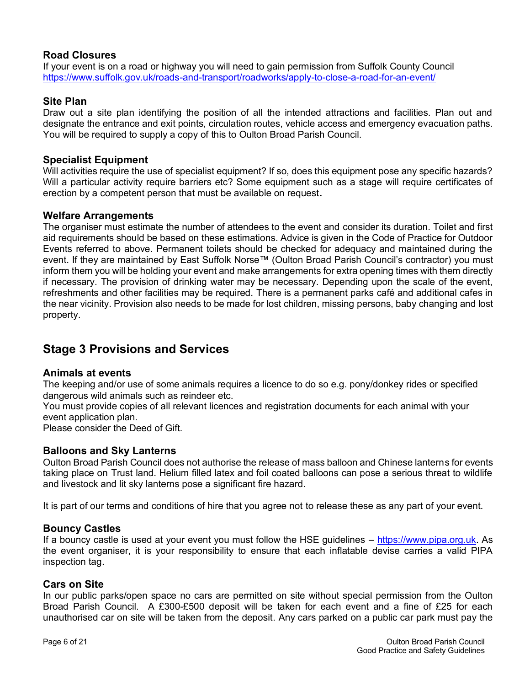### **Road Closures**

If your event is on a road or highway you will need to gain permission from Suffolk County Council <https://www.suffolk.gov.uk/roads-and-transport/roadworks/apply-to-close-a-road-for-an-event/>

#### **Site Plan**

Draw out a site plan identifying the position of all the intended attractions and facilities. Plan out and designate the entrance and exit points, circulation routes, vehicle access and emergency evacuation paths. You will be required to supply a copy of this to Oulton Broad Parish Council.

#### **Specialist Equipment**

Will activities require the use of specialist equipment? If so, does this equipment pose any specific hazards? Will a particular activity require barriers etc? Some equipment such as a stage will require certificates of erection by a competent person that must be available on request**.**

#### **Welfare Arrangements**

The organiser must estimate the number of attendees to the event and consider its duration. Toilet and first aid requirements should be based on these estimations. Advice is given in the Code of Practice for Outdoor Events referred to above. Permanent toilets should be checked for adequacy and maintained during the event. If they are maintained by East Suffolk Norse™ (Oulton Broad Parish Council's contractor) you must inform them you will be holding your event and make arrangements for extra opening times with them directly if necessary. The provision of drinking water may be necessary. Depending upon the scale of the event, refreshments and other facilities may be required. There is a permanent parks café and additional cafes in the near vicinity. Provision also needs to be made for lost children, missing persons, baby changing and lost property.

## **Stage 3 Provisions and Services**

#### **Animals at events**

The keeping and/or use of some animals requires a licence to do so e.g. pony/donkey rides or specified dangerous wild animals such as reindeer etc.

You must provide copies of all relevant licences and registration documents for each animal with your event application plan.

Please consider the Deed of Gift.

#### **Balloons and Sky Lanterns**

Oulton Broad Parish Council does not authorise the release of mass balloon and Chinese lanterns for events taking place on Trust land. Helium filled latex and foil coated balloons can pose a serious threat to wildlife and livestock and lit sky lanterns pose a significant fire hazard.

It is part of our terms and conditions of hire that you agree not to release these as any part of your event.

#### **Bouncy Castles**

If a bouncy castle is used at your event you must follow the HSE guidelines – [https://www.pipa.org.uk.](https://www.pipa.org.uk/) As the event organiser, it is your responsibility to ensure that each inflatable devise carries a valid PIPA inspection tag.

#### **Cars on Site**

In our public parks/open space no cars are permitted on site without special permission from the Oulton Broad Parish Council. A £300-£500 deposit will be taken for each event and a fine of £25 for each unauthorised car on site will be taken from the deposit*.* Any cars parked on a public car park must pay the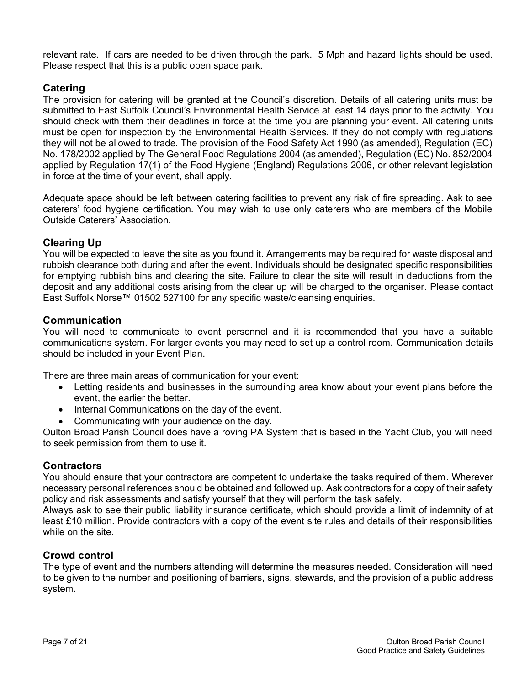relevant rate. If cars are needed to be driven through the park. 5 Mph and hazard lights should be used. Please respect that this is a public open space park.

#### **Catering**

The provision for catering will be granted at the Council's discretion. Details of all catering units must be submitted to East Suffolk Council's Environmental Health Service at least 14 days prior to the activity. You should check with them their deadlines in force at the time you are planning your event. All catering units must be open for inspection by the Environmental Health Services. If they do not comply with regulations they will not be allowed to trade. The provision of the Food Safety Act 1990 (as amended), Regulation (EC) No. 178/2002 applied by The General Food Regulations 2004 (as amended), Regulation (EC) No. 852/2004 applied by Regulation 17(1) of the Food Hygiene (England) Regulations 2006, or other relevant legislation in force at the time of your event, shall apply.

Adequate space should be left between catering facilities to prevent any risk of fire spreading. Ask to see caterers' food hygiene certification. You may wish to use only caterers who are members of the Mobile Outside Caterers' Association.

### **Clearing Up**

You will be expected to leave the site as you found it. Arrangements may be required for waste disposal and rubbish clearance both during and after the event. Individuals should be designated specific responsibilities for emptying rubbish bins and clearing the site. Failure to clear the site will result in deductions from the deposit and any additional costs arising from the clear up will be charged to the organiser. Please contact East Suffolk Norse™ 01502 527100 for any specific waste/cleansing enquiries.

#### **Communication**

You will need to communicate to event personnel and it is recommended that you have a suitable communications system. For larger events you may need to set up a control room. Communication details should be included in your Event Plan.

There are three main areas of communication for your event:

- Letting residents and businesses in the surrounding area know about your event plans before the event, the earlier the better.
- Internal Communications on the day of the event.
- Communicating with your audience on the day.

Oulton Broad Parish Council does have a roving PA System that is based in the Yacht Club, you will need to seek permission from them to use it.

#### **Contractors**

You should ensure that your contractors are competent to undertake the tasks required of them. Wherever necessary personal references should be obtained and followed up. Ask contractors for a copy of their safety policy and risk assessments and satisfy yourself that they will perform the task safely.

Always ask to see their public liability insurance certificate, which should provide a limit of indemnity of at least £10 million. Provide contractors with a copy of the event site rules and details of their responsibilities while on the site.

#### **Crowd control**

The type of event and the numbers attending will determine the measures needed. Consideration will need to be given to the number and positioning of barriers, signs, stewards, and the provision of a public address system.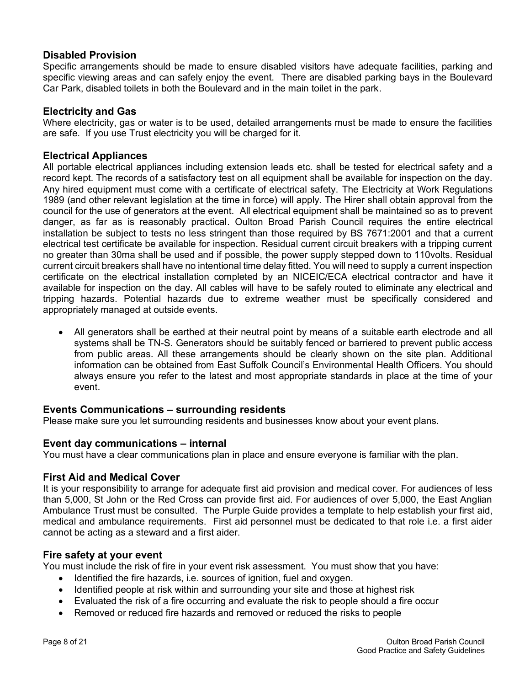#### **Disabled Provision**

Specific arrangements should be made to ensure disabled visitors have adequate facilities, parking and specific viewing areas and can safely enjoy the event. There are disabled parking bays in the Boulevard Car Park, disabled toilets in both the Boulevard and in the main toilet in the park.

#### **Electricity and Gas**

Where electricity, gas or water is to be used, detailed arrangements must be made to ensure the facilities are safe. If you use Trust electricity you will be charged for it.

#### **Electrical Appliances**

All portable electrical appliances including extension leads etc. shall be tested for electrical safety and a record kept. The records of a satisfactory test on all equipment shall be available for inspection on the day. Any hired equipment must come with a certificate of electrical safety. The Electricity at Work Regulations 1989 (and other relevant legislation at the time in force) will apply. The Hirer shall obtain approval from the council for the use of generators at the event. All electrical equipment shall be maintained so as to prevent danger, as far as is reasonably practical. Oulton Broad Parish Council requires the entire electrical installation be subject to tests no less stringent than those required by BS 7671:2001 and that a current electrical test certificate be available for inspection. Residual current circuit breakers with a tripping current no greater than 30ma shall be used and if possible, the power supply stepped down to 110volts. Residual current circuit breakers shall have no intentional time delay fitted. You will need to supply a current inspection certificate on the electrical installation completed by an NICEIC/ECA electrical contractor and have it available for inspection on the day. All cables will have to be safely routed to eliminate any electrical and tripping hazards. Potential hazards due to extreme weather must be specifically considered and appropriately managed at outside events.

• All generators shall be earthed at their neutral point by means of a suitable earth electrode and all systems shall be TN-S. Generators should be suitably fenced or barriered to prevent public access from public areas. All these arrangements should be clearly shown on the site plan. Additional information can be obtained from East Suffolk Council's Environmental Health Officers. You should always ensure you refer to the latest and most appropriate standards in place at the time of your event.

#### **Events Communications – surrounding residents**

Please make sure you let surrounding residents and businesses know about your event plans.

#### **Event day communications – internal**

You must have a clear communications plan in place and ensure everyone is familiar with the plan.

#### **First Aid and Medical Cover**

It is your responsibility to arrange for adequate first aid provision and medical cover. For audiences of less than 5,000, St John or the Red Cross can provide first aid. For audiences of over 5,000, the East Anglian Ambulance Trust must be consulted. The Purple Guide provides a template to help establish your first aid, medical and ambulance requirements. First aid personnel must be dedicated to that role i.e. a first aider cannot be acting as a steward and a first aider.

#### **Fire safety at your event**

You must include the risk of fire in your event risk assessment. You must show that you have:

- Identified the fire hazards, i.e. sources of ignition, fuel and oxygen.
- Identified people at risk within and surrounding your site and those at highest risk
- Evaluated the risk of a fire occurring and evaluate the risk to people should a fire occur
- Removed or reduced fire hazards and removed or reduced the risks to people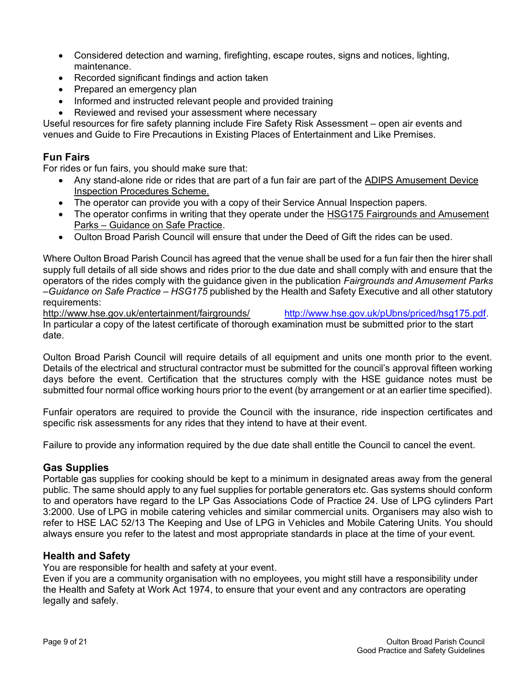- Considered detection and warning, firefighting, escape routes, signs and notices, lighting, maintenance.
- Recorded significant findings and action taken
- Prepared an emergency plan
- Informed and instructed relevant people and provided training
- Reviewed and revised your assessment where necessary

Useful resources for fire safety planning include Fire Safety Risk Assessment – open air events and venues and Guide to Fire Precautions in Existing Places of Entertainment and Like Premises.

#### **Fun Fairs**

For rides or fun fairs, you should make sure that:

- Any stand-alone ride or rides that are part of a fun fair are part of the ADIPS Amusement Device Inspection Procedures Scheme.
- The operator can provide you with a copy of their Service Annual Inspection papers.
- The operator confirms in writing that they operate under the HSG175 Fairgrounds and Amusement Parks – Guidance on Safe Practice.
- Oulton Broad Parish Council will ensure that under the Deed of Gift the rides can be used.

Where Oulton Broad Parish Council has agreed that the venue shall be used for a fun fair then the hirer shall supply full details of all side shows and rides prior to the due date and shall comply with and ensure that the operators of the rides comply with the guidance given in the publication *Fairgrounds and Amusement Parks –Guidance on Safe Practice – HSG175* published by the Health and Safety Executive and all other statutory requirements:

<http://www.hse.gov.uk/entertainment/fairgrounds/>[http://www.hse.gov.uk/pUbns/priced/hsg175.pdf.](http://www.hse.gov.uk/pUbns/priced/hsg175.pdf) In particular a copy of the latest certificate of thorough examination must be submitted prior to the start date.

Oulton Broad Parish Council will require details of all equipment and units one month prior to the event. Details of the electrical and structural contractor must be submitted for the council's approval fifteen working days before the event. Certification that the structures comply with the HSE guidance notes must be submitted four normal office working hours prior to the event (by arrangement or at an earlier time specified).

Funfair operators are required to provide the Council with the insurance, ride inspection certificates and specific risk assessments for any rides that they intend to have at their event.

Failure to provide any information required by the due date shall entitle the Council to cancel the event.

#### **Gas Supplies**

Portable gas supplies for cooking should be kept to a minimum in designated areas away from the general public. The same should apply to any fuel supplies for portable generators etc. Gas systems should conform to and operators have regard to the LP Gas Associations Code of Practice 24. Use of LPG cylinders Part 3:2000. Use of LPG in mobile catering vehicles and similar commercial units. Organisers may also wish to refer to HSE LAC 52/13 The Keeping and Use of LPG in Vehicles and Mobile Catering Units. You should always ensure you refer to the latest and most appropriate standards in place at the time of your event.

#### **Health and Safety**

You are responsible for health and safety at your event.

Even if you are a community organisation with no employees, you might still have a responsibility under the Health and Safety at Work Act 1974, to ensure that your event and any contractors are operating legally and safely.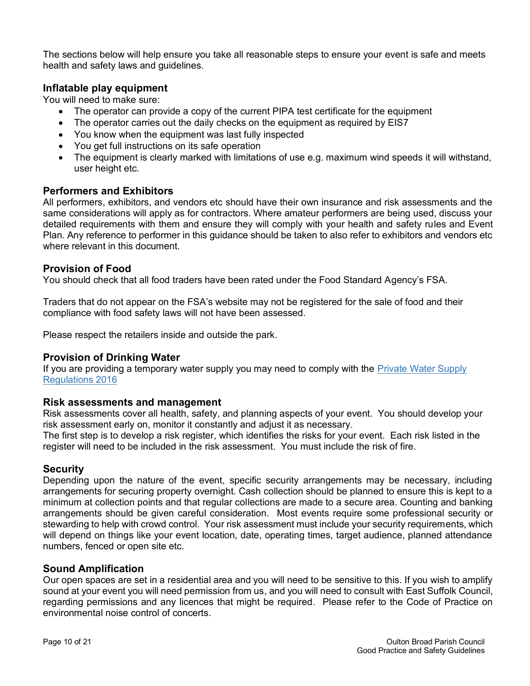The sections below will help ensure you take all reasonable steps to ensure your event is safe and meets health and safety laws and guidelines.

#### **Inflatable play equipment**

You will need to make sure:

- The operator can provide a copy of the current PIPA test certificate for the equipment
- The operator carries out the daily checks on the equipment as required by EIS7
- You know when the equipment was last fully inspected
- You get full instructions on its safe operation
- The equipment is clearly marked with limitations of use e.g. maximum wind speeds it will withstand, user height etc.

#### **Performers and Exhibitors**

All performers, exhibitors, and vendors etc should have their own insurance and risk assessments and the same considerations will apply as for contractors. Where amateur performers are being used, discuss your detailed requirements with them and ensure they will comply with your health and safety rules and Event Plan. Any reference to performer in this guidance should be taken to also refer to exhibitors and vendors etc where relevant in this document.

#### **Provision of Food**

You should check that all food traders have been rated under the Food Standard Agency's FSA.

Traders that do not appear on the FSA's website may not be registered for the sale of food and their compliance with food safety laws will not have been assessed.

Please respect the retailers inside and outside the park.

#### **Provision of Drinking Water**

If you are providing a temporary water supply you may need to comply with the [Private Water Supply](http://www.dwi.gov.uk/private-water-supply/)  [Regulations 2016](http://www.dwi.gov.uk/private-water-supply/)

#### **Risk assessments and management**

Risk assessments cover all health, safety, and planning aspects of your event. You should develop your risk assessment early on, monitor it constantly and adjust it as necessary.

The first step is to develop a risk register, which identifies the risks for your event. Each risk listed in the register will need to be included in the risk assessment. You must include the risk of fire.

#### **Security**

Depending upon the nature of the event, specific security arrangements may be necessary, including arrangements for securing property overnight. Cash collection should be planned to ensure this is kept to a minimum at collection points and that regular collections are made to a secure area. Counting and banking arrangements should be given careful consideration. Most events require some professional security or stewarding to help with crowd control. Your risk assessment must include your security requirements, which will depend on things like your event location, date, operating times, target audience, planned attendance numbers, fenced or open site etc.

#### **Sound Amplification**

Our open spaces are set in a residential area and you will need to be sensitive to this. If you wish to amplify sound at your event you will need permission from us, and you will need to consult with East Suffolk Council, regarding permissions and any licences that might be required. Please refer to the Code of Practice on environmental noise control of concerts.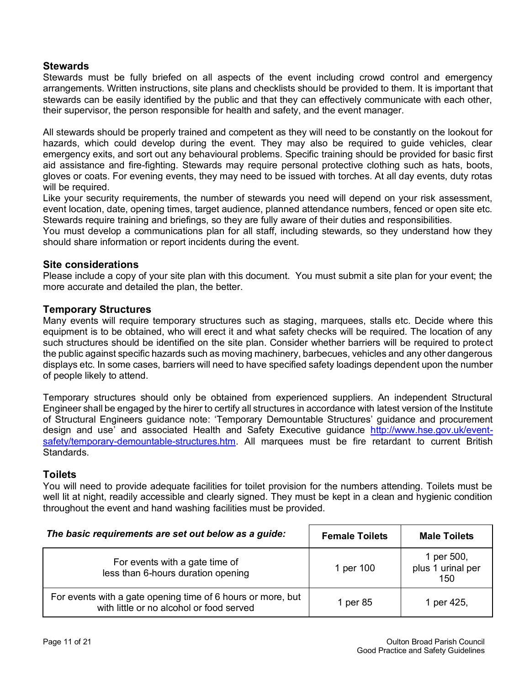#### **Stewards**

Stewards must be fully briefed on all aspects of the event including crowd control and emergency arrangements. Written instructions, site plans and checklists should be provided to them. It is important that stewards can be easily identified by the public and that they can effectively communicate with each other, their supervisor, the person responsible for health and safety, and the event manager.

All stewards should be properly trained and competent as they will need to be constantly on the lookout for hazards, which could develop during the event. They may also be required to guide vehicles, clear emergency exits, and sort out any behavioural problems. Specific training should be provided for basic first aid assistance and fire-fighting. Stewards may require personal protective clothing such as hats, boots, gloves or coats. For evening events, they may need to be issued with torches. At all day events, duty rotas will be required.

Like your security requirements, the number of stewards you need will depend on your risk assessment, event location, date, opening times, target audience, planned attendance numbers, fenced or open site etc. Stewards require training and briefings, so they are fully aware of their duties and responsibilities.

You must develop a communications plan for all staff, including stewards, so they understand how they should share information or report incidents during the event.

#### **Site considerations**

Please include a copy of your site plan with this document. You must submit a site plan for your event; the more accurate and detailed the plan, the better.

#### **Temporary Structures**

Many events will require temporary structures such as staging, marquees, stalls etc. Decide where this equipment is to be obtained, who will erect it and what safety checks will be required. The location of any such structures should be identified on the site plan. Consider whether barriers will be required to protect the public against specific hazards such as moving machinery, barbecues, vehicles and any other dangerous displays etc. In some cases, barriers will need to have specified safety loadings dependent upon the number of people likely to attend.

Temporary structures should only be obtained from experienced suppliers. An independent Structural Engineer shall be engaged by the hirer to certify all structures in accordance with latest version of the Institute of Structural Engineers guidance note: 'Temporary Demountable Structures' guidance and procurement design and use' and associated Health and Safety Executive guidance [http://www.hse.gov.uk/event](http://www.hse.gov.uk/event-safety/temporary-demountable-structures.htm)[safety/temporary-demountable-structures.htm.](http://www.hse.gov.uk/event-safety/temporary-demountable-structures.htm) All marquees must be fire retardant to current British Standards.

#### **Toilets**

You will need to provide adequate facilities for toilet provision for the numbers attending. Toilets must be well lit at night, readily accessible and clearly signed. They must be kept in a clean and hygienic condition throughout the event and hand washing facilities must be provided.

| The basic requirements are set out below as a guide:                                                    | <b>Female Toilets</b> | <b>Male Toilets</b>                    |
|---------------------------------------------------------------------------------------------------------|-----------------------|----------------------------------------|
| For events with a gate time of<br>less than 6-hours duration opening                                    | 1 per 100             | 1 per 500,<br>plus 1 urinal per<br>150 |
| For events with a gate opening time of 6 hours or more, but<br>with little or no alcohol or food served | 1 per 85              | 1 per 425,                             |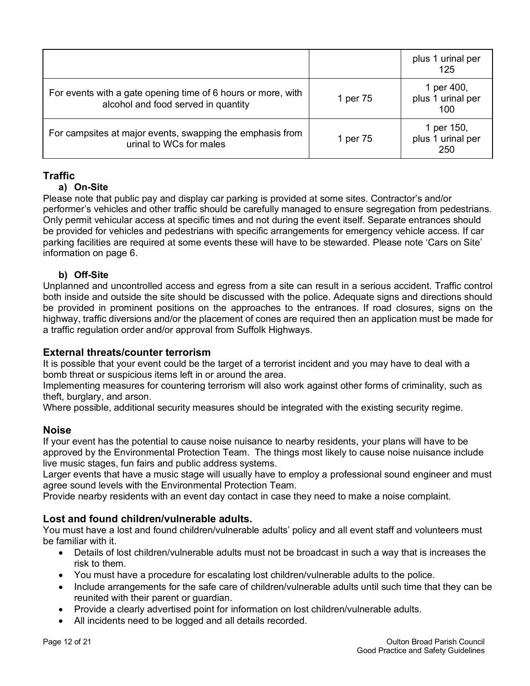|                                                                                                     |          | plus 1 urinal per<br>125               |
|-----------------------------------------------------------------------------------------------------|----------|----------------------------------------|
| For events with a gate opening time of 6 hours or more, with<br>alcohol and food served in quantity | 1 per 75 | 1 per 400,<br>plus 1 urinal per<br>100 |
| For campsites at major events, swapping the emphasis from<br>urinal to WCs for males                | 1 per 75 | 1 per 150,<br>plus 1 urinal per<br>250 |

### **Traffic**

#### **a) On-Site**

Please note that public pay and display car parking is provided at some sites. Contractor's and/or performer's vehicles and other traffic should be carefully managed to ensure segregation from pedestrians. Only permit vehicular access at specific times and not during the event itself. Separate entrances should be provided for vehicles and pedestrians with specific arrangements for emergency vehicle access. If car parking facilities are required at some events these will have to be stewarded. Please note 'Cars on Site' information on page 6.

#### **b) Off-Site**

Unplanned and uncontrolled access and egress from a site can result in a serious accident. Traffic control both inside and outside the site should be discussed with the police. Adequate signs and directions should be provided in prominent positions on the approaches to the entrances. If road closures, signs on the highway, traffic diversions and/or the placement of cones are required then an application must be made for a traffic regulation order and/or approval from Suffolk Highways.

#### **External threats/counter terrorism**

It is possible that your event could be the target of a terrorist incident and you may have to deal with a bomb threat or suspicious items left in or around the area.

Implementing measures for countering terrorism will also work against other forms of criminality, such as theft, burglary, and arson.

Where possible, additional security measures should be integrated with the existing security regime.

#### **Noise**

If your event has the potential to cause noise nuisance to nearby residents, your plans will have to be approved by the Environmental Protection Team. The things most likely to cause noise nuisance include live music stages, fun fairs and public address systems.

Larger events that have a music stage will usually have to employ a professional sound engineer and must agree sound levels with the Environmental Protection Team.

Provide nearby residents with an event day contact in case they need to make a noise complaint.

#### **Lost and found children/vulnerable adults.**

You must have a lost and found children/vulnerable adults' policy and all event staff and volunteers must be familiar with it.

- Details of lost children/vulnerable adults must not be broadcast in such a way that is increases the risk to them.
- You must have a procedure for escalating lost children/vulnerable adults to the police.
- Include arrangements for the safe care of children/vulnerable adults until such time that they can be reunited with their parent or guardian.
- Provide a clearly advertised point for information on lost children/vulnerable adults.
- All incidents need to be logged and all details recorded.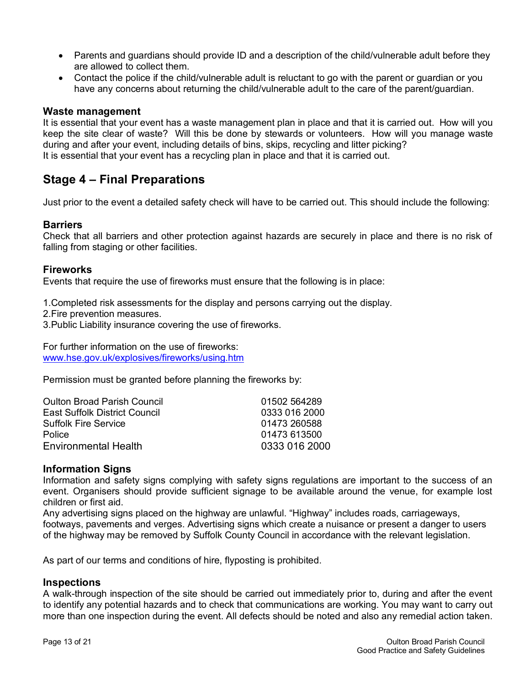- Parents and quardians should provide ID and a description of the child/vulnerable adult before they are allowed to collect them.
- Contact the police if the child/vulnerable adult is reluctant to go with the parent or guardian or you have any concerns about returning the child/vulnerable adult to the care of the parent/guardian.

#### **Waste management**

It is essential that your event has a waste management plan in place and that it is carried out. How will you keep the site clear of waste? Will this be done by stewards or volunteers. How will you manage waste during and after your event, including details of bins, skips, recycling and litter picking? It is essential that your event has a recycling plan in place and that it is carried out.

## **Stage 4 – Final Preparations**

Just prior to the event a detailed safety check will have to be carried out. This should include the following:

#### **Barriers**

Check that all barriers and other protection against hazards are securely in place and there is no risk of falling from staging or other facilities.

#### **Fireworks**

Events that require the use of fireworks must ensure that the following is in place:

1.Completed risk assessments for the display and persons carrying out the display.

2.Fire prevention measures.

3.Public Liability insurance covering the use of fireworks.

For further information on the use of fireworks: [www.hse.gov.uk/explosives/fireworks/using.htm](http://www.hse.gov.uk/explosives/fireworks/using.htm)

Permission must be granted before planning the fireworks by:

| 01502 564289  |
|---------------|
| 0333 016 2000 |
| 01473 260588  |
| 01473 613500  |
| 0333 016 2000 |
|               |

#### **Information Signs**

Information and safety signs complying with safety signs regulations are important to the success of an event. Organisers should provide sufficient signage to be available around the venue, for example lost children or first aid.

Any advertising signs placed on the highway are unlawful. "Highway" includes roads, carriageways, footways, pavements and verges. Advertising signs which create a nuisance or present a danger to users of the highway may be removed by Suffolk County Council in accordance with the relevant legislation.

As part of our terms and conditions of hire, flyposting is prohibited.

#### **Inspections**

A walk-through inspection of the site should be carried out immediately prior to, during and after the event to identify any potential hazards and to check that communications are working. You may want to carry out more than one inspection during the event. All defects should be noted and also any remedial action taken.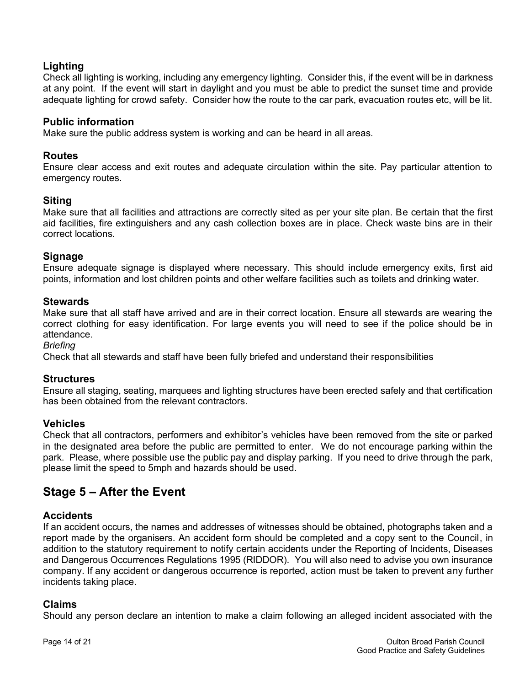### **Lighting**

Check all lighting is working, including any emergency lighting. Consider this, if the event will be in darkness at any point. If the event will start in daylight and you must be able to predict the sunset time and provide adequate lighting for crowd safety. Consider how the route to the car park, evacuation routes etc, will be lit.

#### **Public information**

Make sure the public address system is working and can be heard in all areas.

#### **Routes**

Ensure clear access and exit routes and adequate circulation within the site. Pay particular attention to emergency routes.

#### **Siting**

Make sure that all facilities and attractions are correctly sited as per your site plan. Be certain that the first aid facilities, fire extinguishers and any cash collection boxes are in place. Check waste bins are in their correct locations.

#### **Signage**

Ensure adequate signage is displayed where necessary. This should include emergency exits, first aid points, information and lost children points and other welfare facilities such as toilets and drinking water.

#### **Stewards**

Make sure that all staff have arrived and are in their correct location. Ensure all stewards are wearing the correct clothing for easy identification. For large events you will need to see if the police should be in attendance.

*Briefing* 

Check that all stewards and staff have been fully briefed and understand their responsibilities

#### **Structures**

Ensure all staging, seating, marquees and lighting structures have been erected safely and that certification has been obtained from the relevant contractors.

#### **Vehicles**

Check that all contractors, performers and exhibitor's vehicles have been removed from the site or parked in the designated area before the public are permitted to enter. We do not encourage parking within the park. Please, where possible use the public pay and display parking. If you need to drive through the park, please limit the speed to 5mph and hazards should be used.

## **Stage 5 – After the Event**

#### **Accidents**

If an accident occurs, the names and addresses of witnesses should be obtained, photographs taken and a report made by the organisers. An accident form should be completed and a copy sent to the Council, in addition to the statutory requirement to notify certain accidents under the Reporting of Incidents, Diseases and Dangerous Occurrences Regulations 1995 (RIDDOR). You will also need to advise you own insurance company. If any accident or dangerous occurrence is reported, action must be taken to prevent any further incidents taking place.

#### **Claims**

Should any person declare an intention to make a claim following an alleged incident associated with the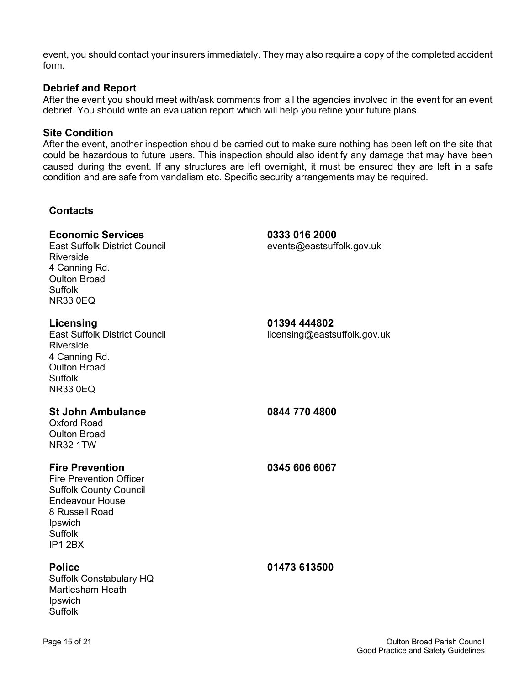event, you should contact your insurers immediately. They may also require a copy of the completed accident form.

#### **Debrief and Report**

After the event you should meet with/ask comments from all the agencies involved in the event for an event debrief. You should write an evaluation report which will help you refine your future plans.

#### **Site Condition**

After the event, another inspection should be carried out to make sure nothing has been left on the site that could be hazardous to future users. This inspection should also identify any damage that may have been caused during the event. If any structures are left overnight, it must be ensured they are left in a safe condition and are safe from vandalism etc. Specific security arrangements may be required.

#### **Contacts**

#### **Economic Services 0333 016 2000**

East Suffolk District Council events@eastsuffolk.gov.uk Riverside 4 Canning Rd. Oulton Broad Suffolk NR33 0EQ

## **Licensing 01394 444802**  $licensing@eatsuffolk.gov.uk$ Riverside 4 Canning Rd. Oulton Broad Suffolk NR33 0EQ

Oxford Road Oulton Broad NR32 1TW

#### **Fire Prevention 0345 606 6067**

Fire Prevention Officer Suffolk County Council Endeavour House 8 Russell Road **Ipswich** Suffolk IP1 2BX

Suffolk Constabulary HQ Martlesham Heath **Ipswich** Suffolk

**St John Ambulance 0844 770 4800**

**Police 01473 613500**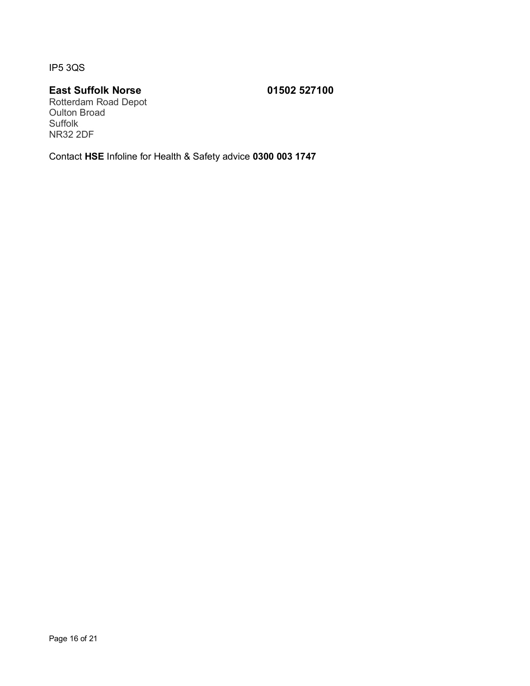IP5 3QS

## **East Suffolk Norse 01502 527100**

Rotterdam Road Depot Oulton Broad Suffolk NR32 2DF

Contact **HSE** Infoline for Health & Safety advice **0300 003 1747**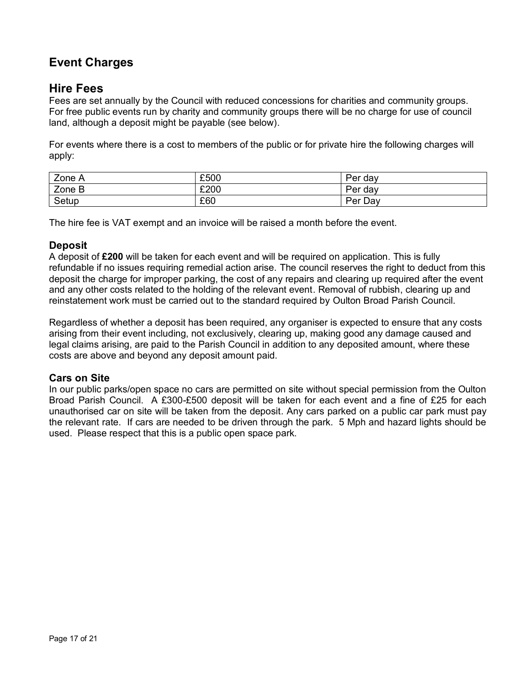## **Event Charges**

## **Hire Fees**

Fees are set annually by the Council with reduced concessions for charities and community groups. For free public events run by charity and community groups there will be no charge for use of council land, although a deposit might be payable (see below).

For events where there is a cost to members of the public or for private hire the following charges will apply:

| Zone A | £500 | Per<br>dav |
|--------|------|------------|
| Zone B | £200 | Per<br>dav |
| Setup  | £60  | Per Day    |

The hire fee is VAT exempt and an invoice will be raised a month before the event.

#### **Deposit**

A deposit of **£200** will be taken for each event and will be required on application. This is fully refundable if no issues requiring remedial action arise. The council reserves the right to deduct from this deposit the charge for improper parking, the cost of any repairs and clearing up required after the event and any other costs related to the holding of the relevant event. Removal of rubbish, clearing up and reinstatement work must be carried out to the standard required by Oulton Broad Parish Council.

Regardless of whether a deposit has been required, any organiser is expected to ensure that any costs arising from their event including, not exclusively, clearing up, making good any damage caused and legal claims arising, are paid to the Parish Council in addition to any deposited amount, where these costs are above and beyond any deposit amount paid.

#### **Cars on Site**

In our public parks/open space no cars are permitted on site without special permission from the Oulton Broad Parish Council. A £300-£500 deposit will be taken for each event and a fine of £25 for each unauthorised car on site will be taken from the deposit*.* Any cars parked on a public car park must pay the relevant rate. If cars are needed to be driven through the park. 5 Mph and hazard lights should be used. Please respect that this is a public open space park.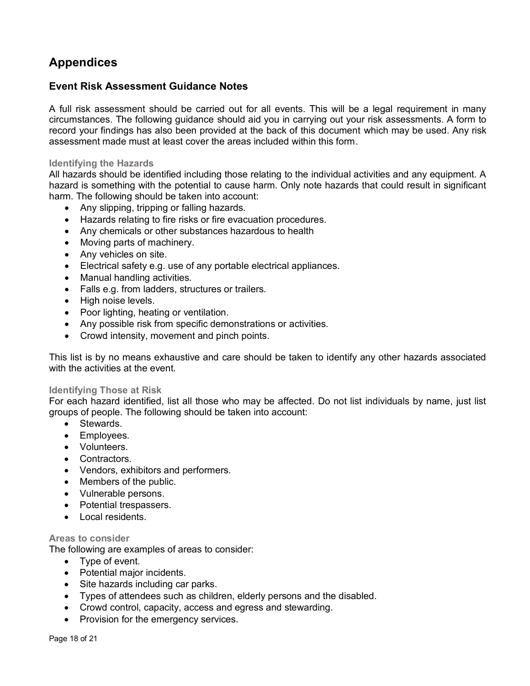## **Appendices**

#### **Event Risk Assessment Guidance Notes**

A full risk assessment should be carried out for all events. This will be a legal requirement in many circumstances. The following guidance should aid you in carrying out your risk assessments. A form to record your findings has also been provided at the back of this document which may be used. Any risk assessment made must at least cover the areas included within this form.

#### **Identifying the Hazards**

All hazards should be identified including those relating to the individual activities and any equipment. A hazard is something with the potential to cause harm. Only note hazards that could result in significant harm. The following should be taken into account:

- Any slipping, tripping or falling hazards.
- Hazards relating to fire risks or fire evacuation procedures.
- Any chemicals or other substances hazardous to health
- Moving parts of machinery.
- Any vehicles on site.
- Electrical safety e.g. use of any portable electrical appliances.
- Manual handling activities.
- Falls e.g. from ladders, structures or trailers.
- High noise levels.
- Poor lighting, heating or ventilation.
- Any possible risk from specific demonstrations or activities.
- Crowd intensity, movement and pinch points.

This list is by no means exhaustive and care should be taken to identify any other hazards associated with the activities at the event.

#### **Identifying Those at Risk**

For each hazard identified, list all those who may be affected. Do not list individuals by name, just list groups of people. The following should be taken into account:

- Stewards.
- Employees.
- Volunteers.
- Contractors.
- Vendors, exhibitors and performers.
- Members of the public.
- Vulnerable persons.
- Potential trespassers.
- Local residents.

#### **Areas to consider**

The following are examples of areas to consider:

- Type of event.
- Potential major incidents.
- Site hazards including car parks.
- Types of attendees such as children, elderly persons and the disabled.
- Crowd control, capacity, access and egress and stewarding.
- Provision for the emergency services.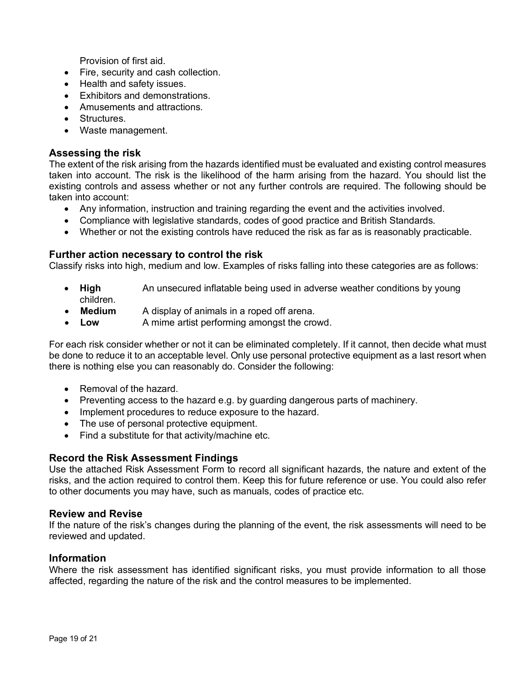Provision of first aid.

- Fire, security and cash collection.
- Health and safety issues.
- Exhibitors and demonstrations.
- Amusements and attractions.
- Structures.
- Waste management.

#### **Assessing the risk**

The extent of the risk arising from the hazards identified must be evaluated and existing control measures taken into account. The risk is the likelihood of the harm arising from the hazard. You should list the existing controls and assess whether or not any further controls are required. The following should be taken into account:

- Any information, instruction and training regarding the event and the activities involved.
- Compliance with legislative standards, codes of good practice and British Standards.
- Whether or not the existing controls have reduced the risk as far as is reasonably practicable.

#### **Further action necessary to control the risk**

Classify risks into high, medium and low. Examples of risks falling into these categories are as follows:

- **High** An unsecured inflatable being used in adverse weather conditions by young children.
- **Medium** A display of animals in a roped off arena.
- Low A mime artist performing amongst the crowd.

For each risk consider whether or not it can be eliminated completely. If it cannot, then decide what must be done to reduce it to an acceptable level. Only use personal protective equipment as a last resort when there is nothing else you can reasonably do. Consider the following:

- Removal of the hazard.
- Preventing access to the hazard e.g. by guarding dangerous parts of machinery.
- Implement procedures to reduce exposure to the hazard.
- The use of personal protective equipment.
- Find a substitute for that activity/machine etc.

#### **Record the Risk Assessment Findings**

Use the attached Risk Assessment Form to record all significant hazards, the nature and extent of the risks, and the action required to control them. Keep this for future reference or use. You could also refer to other documents you may have, such as manuals, codes of practice etc.

#### **Review and Revise**

If the nature of the risk's changes during the planning of the event, the risk assessments will need to be reviewed and updated.

#### **Information**

Where the risk assessment has identified significant risks, you must provide information to all those affected, regarding the nature of the risk and the control measures to be implemented.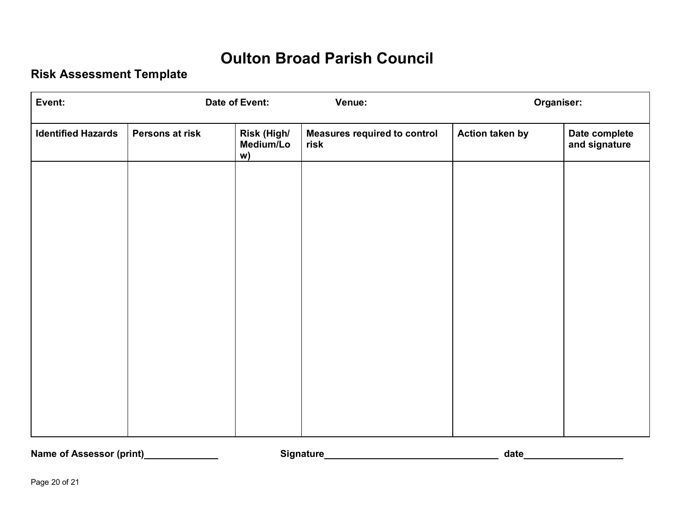# **Oulton Broad Parish Council**

## **Risk Assessment Template**

| Event:                    |                 | Date of Event:                 | Venue:                                      | Organiser:      |                                |
|---------------------------|-----------------|--------------------------------|---------------------------------------------|-----------------|--------------------------------|
| <b>Identified Hazards</b> | Persons at risk | Risk (High/<br>Medium/Lo<br>w) | <b>Measures required to control</b><br>risk | Action taken by | Date complete<br>and signature |
|                           |                 |                                |                                             |                 |                                |
|                           |                 |                                |                                             |                 |                                |
|                           |                 |                                |                                             |                 |                                |
|                           |                 |                                |                                             |                 |                                |
|                           |                 |                                |                                             |                 |                                |
|                           |                 |                                |                                             |                 |                                |
|                           |                 |                                |                                             |                 |                                |
|                           |                 |                                |                                             |                 |                                |

**Name of Assessor (print) Signature date**